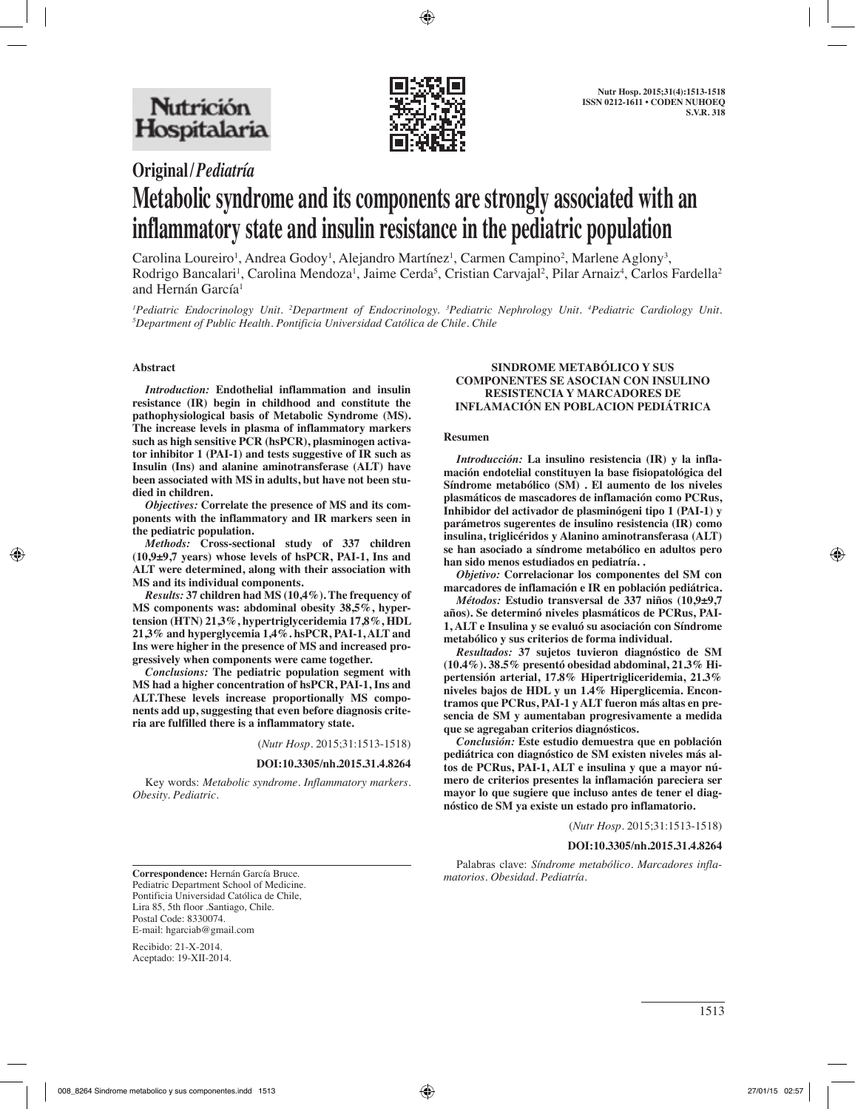

## **Original/***Pediatría*

# **Metabolic syndrome and its components are strongly associated with an inflammatory state and insulin resistance in the pediatric population**

Carolina Loureiro<sup>1</sup>, Andrea Godoy<sup>1</sup>, Alejandro Martínez<sup>1</sup>, Carmen Campino<sup>2</sup>, Marlene Aglony<sup>3</sup>, Rodrigo Bancalari<sup>1</sup>, Carolina Mendoza<sup>1</sup>, Jaime Cerda<sup>5</sup>, Cristian Carvajal<sup>2</sup>, Pilar Arnaiz<sup>4</sup>, Carlos Fardella<sup>2</sup> and Hernán García<sup>1</sup>

<sup>1</sup> Pediatric Endocrinology Unit. <sup>2</sup>Department of Endocrinology. <sup>3</sup>Pediatric Nephrology Unit. <sup>4</sup>Pediatric Cardiology Unit.<br><sup>5</sup>Department of Public Health Pontificia Universidad Católica de Chile. Chile *Department of Public Health. Pontificia Universidad Católica de Chile. Chile*

## **Abstract**

*Introduction:* **Endothelial inflammation and insulin resistance (IR) begin in childhood and constitute the pathophysiological basis of Metabolic Syndrome (MS). The increase levels in plasma of inflammatory markers such as high sensitive PCR (hsPCR), plasminogen activator inhibitor 1 (PAI-1) and tests suggestive of IR such as Insulin (Ins) and alanine aminotransferase (ALT) have been associated with MS in adults, but have not been studied in children.** 

*Objectives:* **Correlate the presence of MS and its components with the inflammatory and IR markers seen in the pediatric population.** 

*Methods:* **Cross-sectional study of 337 children (10,9±9,7 years) whose levels of hsPCR, PAI-1, Ins and ALT were determined, along with their association with MS and its individual components.** 

*Results:* **37 children had MS (10,4%). The frequency of MS components was: abdominal obesity 38,5%, hypertension (HTN) 21,3%, hypertriglyceridemia 17,8%, HDL 21,3% and hyperglycemia 1,4%. hsPCR, PAI-1, ALT and Ins were higher in the presence of MS and increased progressively when components were came together.** 

*Conclusions:* **The pediatric population segment with MS had a higher concentration of hsPCR, PAI-1, Ins and ALT.These levels increase proportionally MS components add up, suggesting that even before diagnosis criteria are fulfilled there is a inflammatory state.**

(*Nutr Hosp.* 2015;31:1513-1518)

#### **DOI:10.3305/nh.2015.31.4.8264**

Key words: *Metabolic syndrome. Inflammatory markers. Obesity. Pediatric.*

#### **SINDROME METABÓLICO Y SUS COMPONENTES SE ASOCIAN CON INSULINO RESISTENCIA Y MARCADORES DE INFLAMACIÓN EN POBLACION PEDIÁTRICA**

## **Resumen**

*Introducción:* **La insulino resistencia (IR) y la inflamación endotelial constituyen la base fisiopatológica del Síndrome metabólico (SM) . El aumento de los niveles plasmáticos de mascadores de inflamación como PCRus, Inhibidor del activador de plasminógeni tipo 1 (PAI-1) y parámetros sugerentes de insulino resistencia (IR) como insulina, triglicéridos y Alanino aminotransferasa (ALT) se han asociado a síndrome metabólico en adultos pero han sido menos estudiados en pediatría. .**

*Objetivo:* **Correlacionar los componentes del SM con marcadores de inflamación e IR en población pediátrica.** 

*Métodos:* **Estudio transversal de 337 niños (10,9±9,7 años). Se determinó niveles plasmáticos de PCRus, PAI-1, ALT e Insulina y se evaluó su asociación con Síndrome metabólico y sus criterios de forma individual.** 

*Resultados:* **37 sujetos tuvieron diagnóstico de SM (10.4%). 38.5% presentó obesidad abdominal, 21.3% Hipertensión arterial, 17.8% Hipertrigliceridemia, 21.3% niveles bajos de HDL y un 1.4% Hiperglicemia. Encontramos que PCRus, PAI-1 y ALT fueron más altas en presencia de SM y aumentaban progresivamente a medida que se agregaban criterios diagnósticos.** 

*Conclusión:* **Este estudio demuestra que en población pediátrica con diagnóstico de SM existen niveles más altos de PCRus, PAI-1, ALT e insulina y que a mayor número de criterios presentes la inflamación pareciera ser mayor lo que sugiere que incluso antes de tener el diagnóstico de SM ya existe un estado pro inflamatorio.**

(*Nutr Hosp.* 2015;31:1513-1518)

#### **DOI:10.3305/nh.2015.31.4.8264**

Palabras clave: *Síndrome metabólico. Marcadores inflamatorios. Obesidad. Pediatría.* **Correspondence:** Hernán García Bruce.

Pediatric Department School of Medicine. Pontificia Universidad Católica de Chile, Lira 85, 5th floor .Santiago, Chile. Postal Code: 8330074. E-mail: hgarciab@gmail.com

Recibido: 21-X-2014. Aceptado: 19-XII-2014.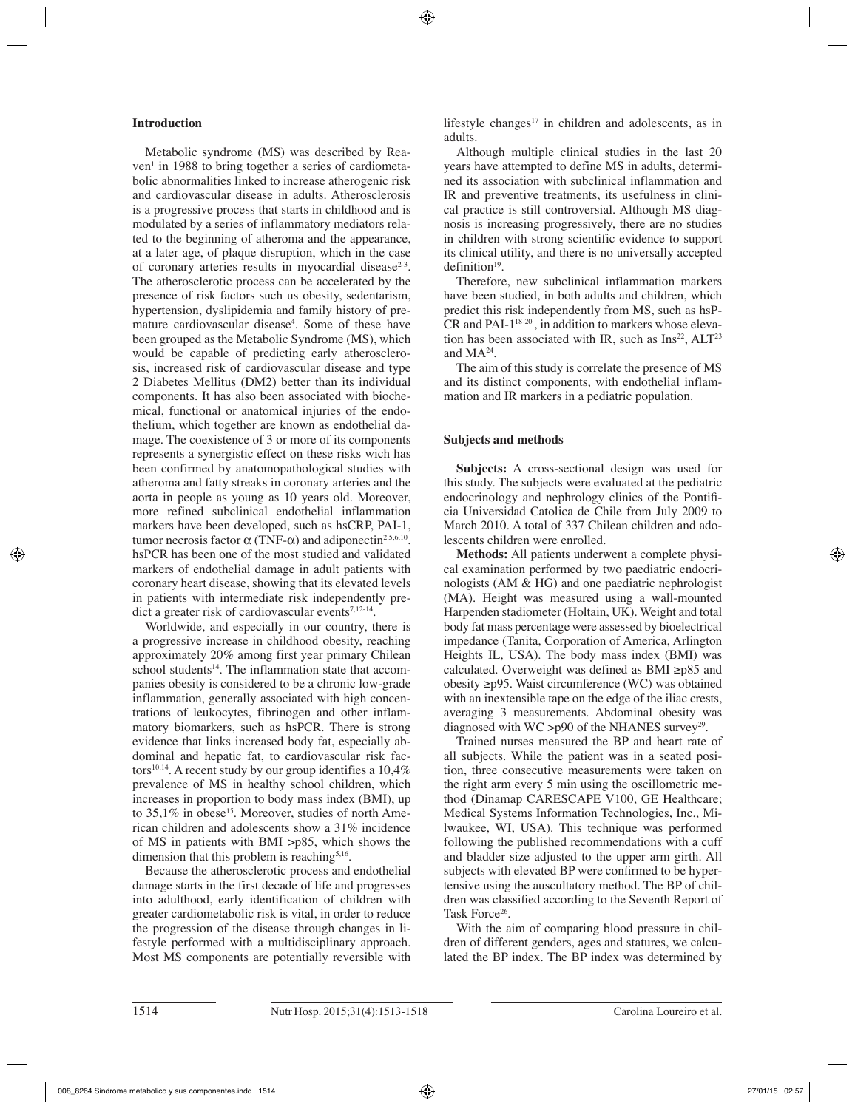## **Introduction**

Metabolic syndrome (MS) was described by Reaven<sup>1</sup> in 1988 to bring together a series of cardiometabolic abnormalities linked to increase atherogenic risk and cardiovascular disease in adults. Atherosclerosis is a progressive process that starts in childhood and is modulated by a series of inflammatory mediators related to the beginning of atheroma and the appearance, at a later age, of plaque disruption, which in the case of coronary arteries results in myocardial disease<sup>2-3</sup>. The atherosclerotic process can be accelerated by the presence of risk factors such us obesity, sedentarism, hypertension, dyslipidemia and family history of premature cardiovascular disease<sup>4</sup>. Some of these have been grouped as the Metabolic Syndrome (MS), which would be capable of predicting early atherosclerosis, increased risk of cardiovascular disease and type 2 Diabetes Mellitus (DM2) better than its individual components. It has also been associated with biochemical, functional or anatomical injuries of the endothelium, which together are known as endothelial damage. The coexistence of 3 or more of its components represents a synergistic effect on these risks wich has been confirmed by anatomopathological studies with atheroma and fatty streaks in coronary arteries and the aorta in people as young as 10 years old. Moreover, more refined subclinical endothelial inflammation markers have been developed, such as hsCRP, PAI-1, tumor necrosis factor α (TNF-α) and adiponectin<sup>2,5,6,10</sup>. hsPCR has been one of the most studied and validated markers of endothelial damage in adult patients with coronary heart disease, showing that its elevated levels in patients with intermediate risk independently predict a greater risk of cardiovascular events $7,12-14$ .

Worldwide, and especially in our country, there is a progressive increase in childhood obesity, reaching approximately 20% among first year primary Chilean school students $14$ . The inflammation state that accompanies obesity is considered to be a chronic low-grade inflammation, generally associated with high concentrations of leukocytes, fibrinogen and other inflammatory biomarkers, such as hsPCR. There is strong evidence that links increased body fat, especially abdominal and hepatic fat, to cardiovascular risk factors<sup>10,14</sup>. A recent study by our group identifies a  $10.4\%$ prevalence of MS in healthy school children, which increases in proportion to body mass index (BMI), up to  $35.1\%$  in obese<sup>15</sup>. Moreover, studies of north American children and adolescents show a 31% incidence of MS in patients with BMI >p85, which shows the dimension that this problem is reaching<sup>5,16</sup>.

Because the atherosclerotic process and endothelial damage starts in the first decade of life and progresses into adulthood, early identification of children with greater cardiometabolic risk is vital, in order to reduce the progression of the disease through changes in lifestyle performed with a multidisciplinary approach. Most MS components are potentially reversible with lifestyle changes $17$  in children and adolescents, as in adults.

Although multiple clinical studies in the last 20 years have attempted to define MS in adults, determined its association with subclinical inflammation and IR and preventive treatments, its usefulness in clinical practice is still controversial. Although MS diagnosis is increasing progressively, there are no studies in children with strong scientific evidence to support its clinical utility, and there is no universally accepted  $definition<sup>19</sup>$ .

Therefore, new subclinical inflammation markers have been studied, in both adults and children, which predict this risk independently from MS, such as hsP- $CR$  and PAI- $1^{18-20}$ , in addition to markers whose elevation has been associated with IR, such as  $Ins<sup>22</sup>, ALT<sup>23</sup>$ and MA24.

The aim of this study is correlate the presence of MS and its distinct components, with endothelial inflammation and IR markers in a pediatric population.

## **Subjects and methods**

**Subjects:** A cross-sectional design was used for this study. The subjects were evaluated at the pediatric endocrinology and nephrology clinics of the Pontificia Universidad Catolica de Chile from July 2009 to March 2010. A total of 337 Chilean children and adolescents children were enrolled.

**Methods:** All patients underwent a complete physical examination performed by two paediatric endocrinologists (AM & HG) and one paediatric nephrologist (MA). Height was measured using a wall-mounted Harpenden stadiometer (Holtain, UK). Weight and total body fat mass percentage were assessed by bioelectrical impedance (Tanita, Corporation of America, Arlington Heights IL, USA). The body mass index (BMI) was calculated. Overweight was defined as BMI ≥p85 and obesity ≥p95. Waist circumference (WC) was obtained with an inextensible tape on the edge of the iliac crests. averaging 3 measurements. Abdominal obesity was diagnosed with WC >p90 of the NHANES survey<sup>29</sup>.

Trained nurses measured the BP and heart rate of all subjects. While the patient was in a seated position, three consecutive measurements were taken on the right arm every 5 min using the oscillometric method (Dinamap CARESCAPE V100, GE Healthcare; Medical Systems Information Technologies, Inc., Milwaukee, WI, USA). This technique was performed following the published recommendations with a cuff and bladder size adjusted to the upper arm girth. All subjects with elevated BP were confirmed to be hypertensive using the auscultatory method. The BP of children was classified according to the Seventh Report of Task Force<sup>26</sup>.

With the aim of comparing blood pressure in children of different genders, ages and statures, we calculated the BP index. The BP index was determined by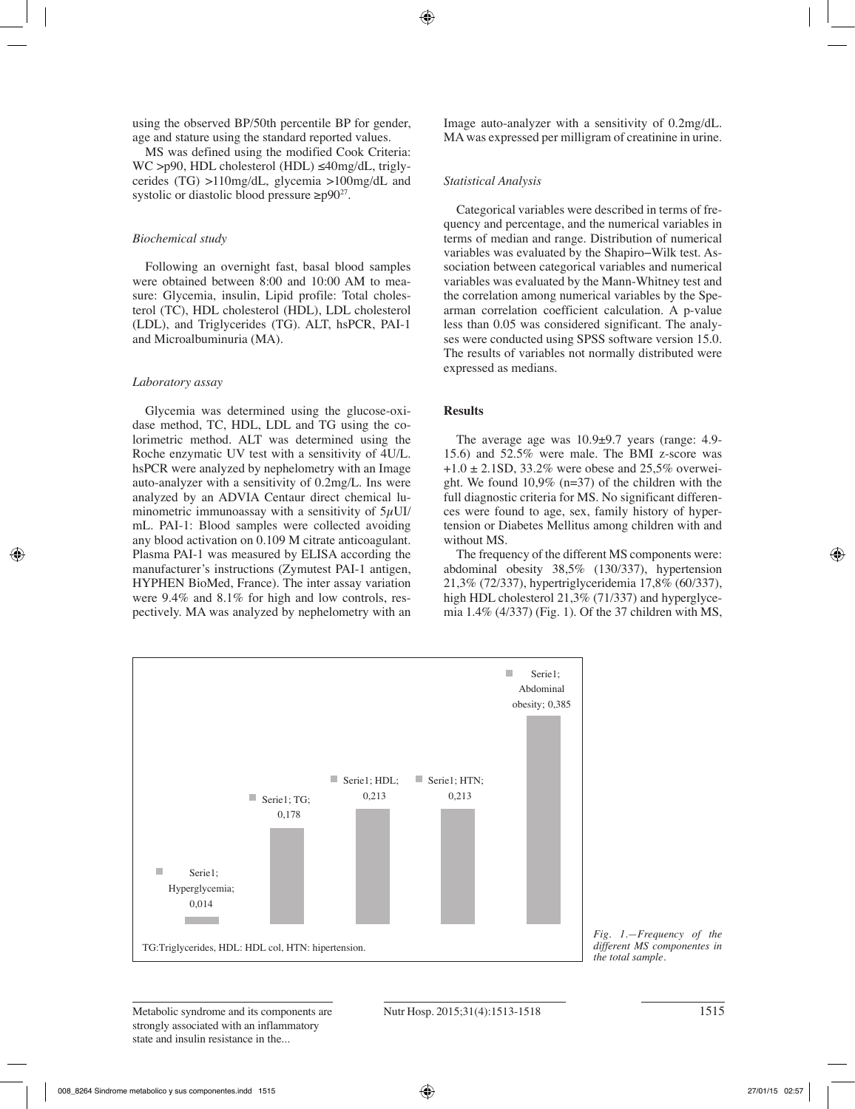using the observed BP/50th percentile BP for gender, age and stature using the standard reported values.

MS was defined using the modified Cook Criteria: WC >p90, HDL cholesterol (HDL) ≤40mg/dL, triglycerides (TG) >110mg/dL, glycemia >100mg/dL and systolic or diastolic blood pressure  $\geq p90^{27}$ .

## *Biochemical study*

Following an overnight fast, basal blood samples were obtained between 8:00 and 10:00 AM to measure: Glycemia, insulin, Lipid profile: Total cholesterol (TC), HDL cholesterol (HDL), LDL cholesterol (LDL), and Triglycerides (TG). ALT, hsPCR, PAI-1 and Microalbuminuria (MA).

#### *Laboratory assay*

Glycemia was determined using the glucose-oxidase method, TC, HDL, LDL and TG using the colorimetric method. ALT was determined using the Roche enzymatic UV test with a sensitivity of 4U/L. hsPCR were analyzed by nephelometry with an Image auto-analyzer with a sensitivity of 0.2mg/L. Ins were analyzed by an ADVIA Centaur direct chemical luminometric immunoassay with a sensitivity of  $5\mu$ UI/ mL. PAI-1: Blood samples were collected avoiding any blood activation on 0.109 M citrate anticoagulant. Plasma PAI-1 was measured by ELISA according the manufacturer's instructions (Zymutest PAI-1 antigen, HYPHEN BioMed, France). The inter assay variation were 9.4% and 8.1% for high and low controls, respectively. MA was analyzed by nephelometry with an

Image auto-analyzer with a sensitivity of 0.2mg/dL. MA was expressed per milligram of creatinine in urine.

#### *Statistical Analysis*

Categorical variables were described in terms of frequency and percentage, and the numerical variables in terms of median and range. Distribution of numerical variables was evaluated by the Shapiro−Wilk test. Association between categorical variables and numerical variables was evaluated by the Mann-Whitney test and the correlation among numerical variables by the Spearman correlation coefficient calculation. A p-value less than 0.05 was considered significant. The analyses were conducted using SPSS software version 15.0. The results of variables not normally distributed were expressed as medians.

## **Results**

The average age was 10.9±9.7 years (range: 4.9- 15.6) and 52.5% were male. The BMI z-score was  $+1.0 \pm 2.1$ SD, 33.2% were obese and 25,5% overweight. We found 10,9% (n=37) of the children with the full diagnostic criteria for MS. No significant differences were found to age, sex, family history of hypertension or Diabetes Mellitus among children with and without MS.

The frequency of the different MS components were: abdominal obesity 38,5% (130/337), hypertension 21,3% (72/337), hypertriglyceridemia 17,8% (60/337), high HDL cholesterol 21,3% (71/337) and hyperglycemia 1.4% (4/337) (Fig. 1). Of the 37 children with MS,



*Fig. 1.—Frequency of the different MS componentes in*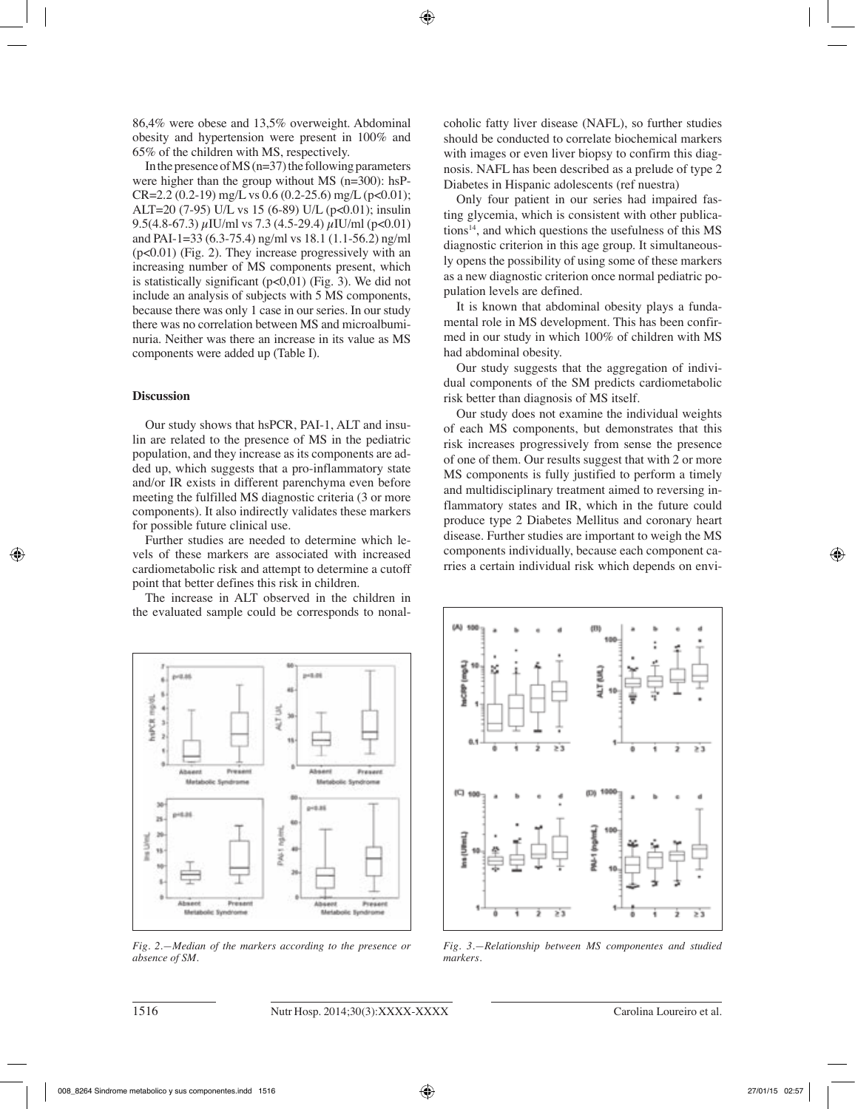86,4% were obese and 13,5% overweight. Abdominal obesity and hypertension were present in 100% and 65% of the children with MS, respectively.

In the presence of MS ( $n=37$ ) the following parameters were higher than the group without MS (n=300): hsP- $CR=2.2$  (0.2-19) mg/L vs 0.6 (0.2-25.6) mg/L (p<0.01); ALT=20 (7-95) U/L vs 15 (6-89) U/L (p<0.01); insulin 9.5(4.8-67.3)  $\mu$ IU/ml vs 7.3 (4.5-29.4)  $\mu$ IU/ml (p<0.01) and PAI-1=33 (6.3-75.4) ng/ml vs 18.1 (1.1-56.2) ng/ml (p<0.01) (Fig. 2). They increase progressively with an increasing number of MS components present, which is statistically significant  $(p<0.01)$  (Fig. 3). We did not include an analysis of subjects with 5 MS components, because there was only 1 case in our series. In our study there was no correlation between MS and microalbuminuria. Neither was there an increase in its value as MS components were added up (Table I).

## **Discussion**

Our study shows that hsPCR, PAI-1, ALT and insulin are related to the presence of MS in the pediatric population, and they increase as its components are added up, which suggests that a pro-inflammatory state and/or IR exists in different parenchyma even before meeting the fulfilled MS diagnostic criteria (3 or more components). It also indirectly validates these markers for possible future clinical use.

Further studies are needed to determine which levels of these markers are associated with increased cardiometabolic risk and attempt to determine a cutoff point that better defines this risk in children.

The increase in ALT observed in the children in the evaluated sample could be corresponds to nonalcoholic fatty liver disease (NAFL), so further studies should be conducted to correlate biochemical markers with images or even liver biopsy to confirm this diagnosis. NAFL has been described as a prelude of type 2 Diabetes in Hispanic adolescents (ref nuestra)

Only four patient in our series had impaired fasting glycemia, which is consistent with other publications $14$ , and which questions the usefulness of this MS diagnostic criterion in this age group. It simultaneously opens the possibility of using some of these markers as a new diagnostic criterion once normal pediatric population levels are defined.

It is known that abdominal obesity plays a fundamental role in MS development. This has been confirmed in our study in which 100% of children with MS had abdominal obesity.

Our study suggests that the aggregation of individual components of the SM predicts cardiometabolic risk better than diagnosis of MS itself.

Our study does not examine the individual weights of each MS components, but demonstrates that this risk increases progressively from sense the presence of one of them. Our results suggest that with 2 or more MS components is fully justified to perform a timely and multidisciplinary treatment aimed to reversing inflammatory states and IR, which in the future could produce type 2 Diabetes Mellitus and coronary heart disease. Further studies are important to weigh the MS components individually, because each component carries a certain individual risk which depends on envi-



*Fig. 2.—Median of the markers according to the presence or absence of SM.*



*Fig. 3.—Relationship between MS componentes and studied markers.*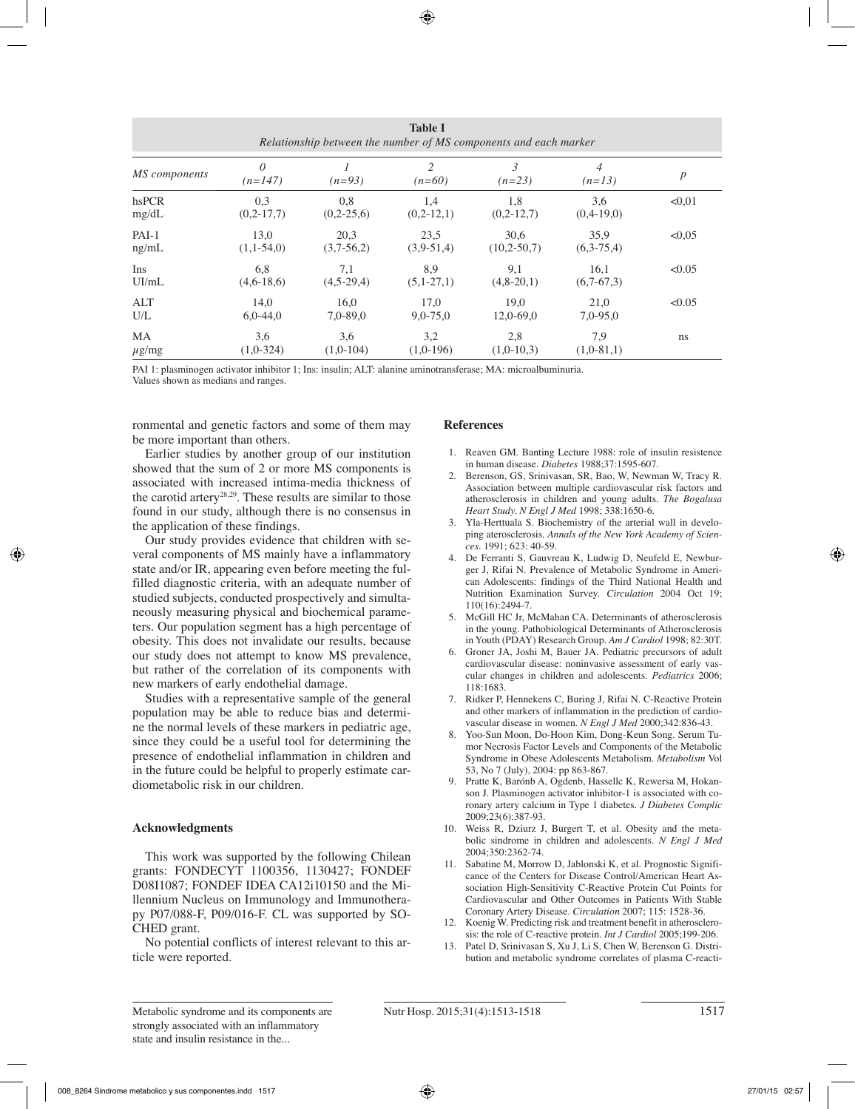| <b>Table I</b><br>Relationship between the number of MS components and each marker |                       |              |                            |               |                            |                  |
|------------------------------------------------------------------------------------|-----------------------|--------------|----------------------------|---------------|----------------------------|------------------|
| MS components                                                                      | $\theta$<br>$(n=147)$ | $(n=93)$     | $\mathfrak{D}$<br>$(n=60)$ | 3<br>$(n=23)$ | $\overline{4}$<br>$(n=13)$ | $\boldsymbol{p}$ |
| hsPCR                                                                              | 0,3                   | 0,8          | 1,4                        | 1,8           | 3,6                        | < 0.01           |
| mg/dL                                                                              | $(0,2-17,7)$          | $(0,2-25,6)$ | $(0,2-12,1)$               | $(0,2-12,7)$  | $(0,4-19,0)$               |                  |
| $PAI-1$                                                                            | 13,0                  | 20,3         | 23,5                       | 30,6          | 35,9                       | < 0.05           |
| ng/mL                                                                              | $(1,1-54,0)$          | $(3,7-56,2)$ | $(3,9-51,4)$               | $(10,2-50,7)$ | $(6,3-75,4)$               |                  |
| Ins                                                                                | 6,8                   | 7,1          | 8,9                        | 9,1           | 16,1                       | < 0.05           |
| UI/mL                                                                              | $(4,6-18,6)$          | $(4,5-29,4)$ | $(5,1-27,1)$               | $(4,8-20,1)$  | $(6,7-67,3)$               |                  |
| ALT                                                                                | 14.0                  | 16.0         | 17.0                       | 19.0          | 21.0                       | < 0.05           |
| U/L                                                                                | $6.0 - 44.0$          | $7,0-89,0$   | $9,0 - 75,0$               | 12.0-69.0     | $7,0-95,0$                 |                  |
| MA                                                                                 | 3,6                   | 3.6          | 3,2                        | 2,8           | 7,9                        | ns               |
| $\mu$ g/mg                                                                         | $(1,0-324)$           | $(1,0-104)$  | $(1,0-196)$                | $(1,0-10,3)$  | $(1,0-81,1)$               |                  |

PAI 1: plasminogen activator inhibitor 1; Ins: insulin; ALT: alanine aminotransferase; MA: microalbuminuria.

Values shown as medians and ranges.

ronmental and genetic factors and some of them may be more important than others.

Earlier studies by another group of our institution showed that the sum of 2 or more MS components is associated with increased intima-media thickness of the carotid artery28,29. These results are similar to those found in our study, although there is no consensus in the application of these findings.

Our study provides evidence that children with several components of MS mainly have a inflammatory state and/or IR, appearing even before meeting the fulfilled diagnostic criteria, with an adequate number of studied subjects, conducted prospectively and simultaneously measuring physical and biochemical parameters. Our population segment has a high percentage of obesity. This does not invalidate our results, because our study does not attempt to know MS prevalence, but rather of the correlation of its components with new markers of early endothelial damage.

Studies with a representative sample of the general population may be able to reduce bias and determine the normal levels of these markers in pediatric age, since they could be a useful tool for determining the presence of endothelial inflammation in children and in the future could be helpful to properly estimate cardiometabolic risk in our children.

## **Acknowledgments**

This work was supported by the following Chilean grants: FONDECYT 1100356, 1130427; FONDEF D08I1087; FONDEF IDEA CA12i10150 and the Millennium Nucleus on Immunology and Immunotherapy P07/088-F, P09/016-F. CL was supported by SO-CHED grant.

No potential conflicts of interest relevant to this article were reported.

## **References**

- 1. Reaven GM. Banting Lecture 1988: role of insulin resistence in human disease. *Diabetes* 1988;37:1595-607.
- 2. Berenson, GS, Srinivasan, SR, Bao, W, Newman W, Tracy R. Association between multiple cardiovascular risk factors and atherosclerosis in children and young adults. *The Bogalusa Heart Study. N Engl J Med* 1998; 338:1650-6.
- 3. Yla-Herttuala S. Biochemistry of the arterial wall in developing aterosclerosis. *Annals of the New York Academy of Sciences*. 1991; 623: 40-59.
- 4. De Ferranti S, Gauvreau K, Ludwig D, Neufeld E, Newburger J, Rifai N. Prevalence of Metabolic Syndrome in American Adolescents: findings of the Third National Health and Nutrition Examination Survey. *Circulation* 2004 Oct 19; 110(16):2494-7.
- 5. McGill HC Jr, McMahan CA. Determinants of atherosclerosis in the young. Pathobiological Determinants of Atherosclerosis in Youth (PDAY) Research Group. *Am J Cardiol* 1998; 82:30T.
- 6. Groner JA, Joshi M, Bauer JA. Pediatric precursors of adult cardiovascular disease: noninvasive assessment of early vascular changes in children and adolescents. *Pediatrics* 2006; 118:1683.
- 7. Ridker P, Hennekens C, Buring J, Rifai N. C-Reactive Protein and other markers of inflammation in the prediction of cardiovascular disease in women. *N Engl J Med* 2000;342:836-43.
- 8. Yoo-Sun Moon, Do-Hoon Kim, Dong-Keun Song. Serum Tumor Necrosis Factor Levels and Components of the Metabolic Syndrome in Obese Adolescents Metabolism. *Metabolism* Vol 53, No 7 (July), 2004: pp 863-867.
- 9. Pratte K, Barónb A, Ogdenb, Hassellc K, Rewersa M, Hokanson J. Plasminogen activator inhibitor-1 is associated with coronary artery calcium in Type 1 diabetes. *J Diabetes Complic* 2009;23(6):387-93.
- 10. Weiss R, Dziurz J, Burgert T, et al. Obesity and the metabolic sindrome in children and adolescents. *N Engl J Med* 2004;350:2362-74.
- 11. Sabatine M, Morrow D, Jablonski K, et al. Prognostic Significance of the Centers for Disease Control/American Heart Association High-Sensitivity C-Reactive Protein Cut Points for Cardiovascular and Other Outcomes in Patients With Stable Coronary Artery Disease. *Circulation* 2007; 115: 1528-36.
- 12. Koenig W. Predicting risk and treatment benefit in atherosclerosis: the role of C-reactive protein. *Int J Cardiol* 2005;199-206.
- Patel D, Srinivasan S, Xu J, Li S, Chen W, Berenson G. Distribution and metabolic syndrome correlates of plasma C-reacti-

Metabolic syndrome and its components are Nutr Hosp. 2015;31(4):1513-1518 1517 strongly associated with an inflammatory state and insulin resistance in the...